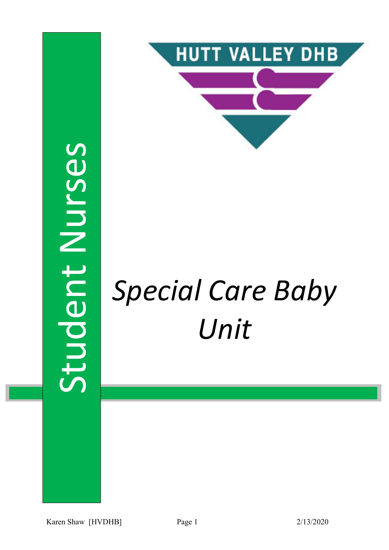



# Special Care Baby Unit

Karen Shaw [HVDHB] Page 1 2/13/2020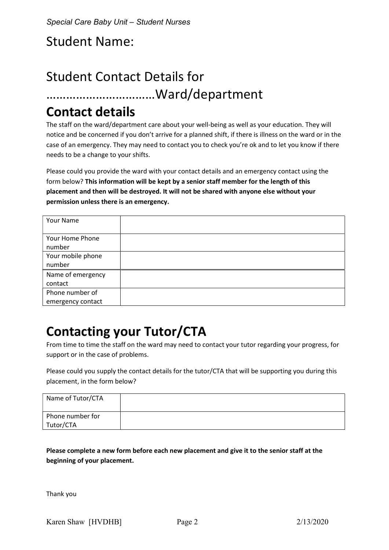# Student Name:

# Student Contact Details for ……………………………Ward/department

## Contact details

The staff on the ward/department care about your well-being as well as your education. They will notice and be concerned if you don't arrive for a planned shift, if there is illness on the ward or in the case of an emergency. They may need to contact you to check you're ok and to let you know if there needs to be a change to your shifts.

Please could you provide the ward with your contact details and an emergency contact using the form below? This information will be kept by a senior staff member for the length of this placement and then will be destroyed. It will not be shared with anyone else without your permission unless there is an emergency.

| Your Name         |  |
|-------------------|--|
|                   |  |
| Your Home Phone   |  |
| number            |  |
| Your mobile phone |  |
| number            |  |
| Name of emergency |  |
| contact           |  |
| Phone number of   |  |
| emergency contact |  |

# Contacting your Tutor/CTA

From time to time the staff on the ward may need to contact your tutor regarding your progress, for support or in the case of problems.

Please could you supply the contact details for the tutor/CTA that will be supporting you during this placement, in the form below?

| Name of Tutor/CTA |  |
|-------------------|--|
| Phone number for  |  |
| Tutor/CTA         |  |

Please complete a new form before each new placement and give it to the senior staff at the beginning of your placement.

Thank you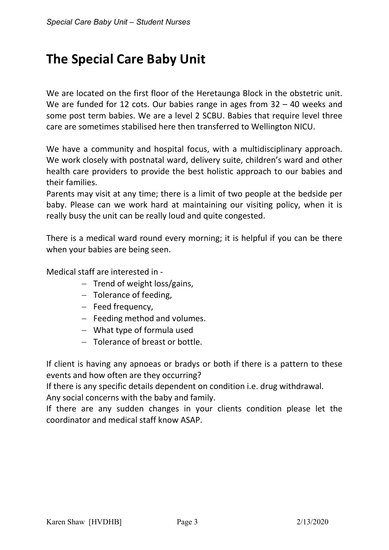# The Special Care Baby Unit

We are located on the first floor of the Heretaunga Block in the obstetric unit. We are funded for 12 cots. Our babies range in ages from 32 - 40 weeks and some post term babies. We are a level 2 SCBU. Babies that require level three care are sometimes stabilised here then transferred to Wellington NICU.

We have a community and hospital focus, with a multidisciplinary approach. We work closely with postnatal ward, delivery suite, children's ward and other health care providers to provide the best holistic approach to our babies and their families.

Parents may visit at any time; there is a limit of two people at the bedside per baby. Please can we work hard at maintaining our visiting policy, when it is really busy the unit can be really loud and quite congested.

There is a medical ward round every morning; it is helpful if you can be there when your babies are being seen.

Medical staff are interested in -

- $-$  Trend of weight loss/gains,
- $-$  Tolerance of feeding,
- $-$  Feed frequency,
- $-$  Feeding method and volumes.
- What type of formula used
- Tolerance of breast or bottle.

If client is having any apnoeas or bradys or both if there is a pattern to these events and how often are they occurring?

If there is any specific details dependent on condition i.e. drug withdrawal. Any social concerns with the baby and family.

If there are any sudden changes in your clients condition please let the coordinator and medical staff know ASAP.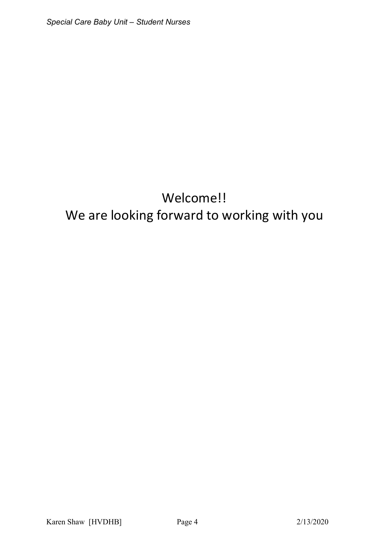# Welcome!! We are looking forward to working with you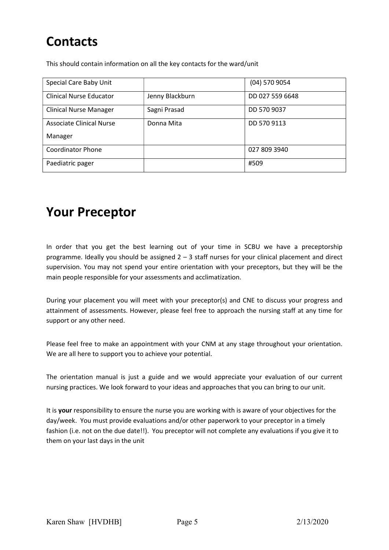# **Contacts**

This should contain information on all the key contacts for the ward/unit

| Special Care Baby Unit         |                 | $(04)$ 570 9054 |
|--------------------------------|-----------------|-----------------|
| <b>Clinical Nurse Educator</b> | Jenny Blackburn | DD 027 559 6648 |
| <b>Clinical Nurse Manager</b>  | Sagni Prasad    | DD 570 9037     |
| Associate Clinical Nurse       | Donna Mita      | DD 570 9113     |
| Manager                        |                 |                 |
| <b>Coordinator Phone</b>       |                 | 027 809 3940    |
| Paediatric pager               |                 | #509            |

### Your Preceptor

In order that you get the best learning out of your time in SCBU we have a preceptorship programme. Ideally you should be assigned 2 – 3 staff nurses for your clinical placement and direct supervision. You may not spend your entire orientation with your preceptors, but they will be the main people responsible for your assessments and acclimatization.

During your placement you will meet with your preceptor(s) and CNE to discuss your progress and attainment of assessments. However, please feel free to approach the nursing staff at any time for support or any other need.

Please feel free to make an appointment with your CNM at any stage throughout your orientation. We are all here to support you to achieve your potential.

The orientation manual is just a guide and we would appreciate your evaluation of our current nursing practices. We look forward to your ideas and approaches that you can bring to our unit.

It is your responsibility to ensure the nurse you are working with is aware of your objectives for the day/week. You must provide evaluations and/or other paperwork to your preceptor in a timely fashion (i.e. not on the due date!!). You preceptor will not complete any evaluations if you give it to them on your last days in the unit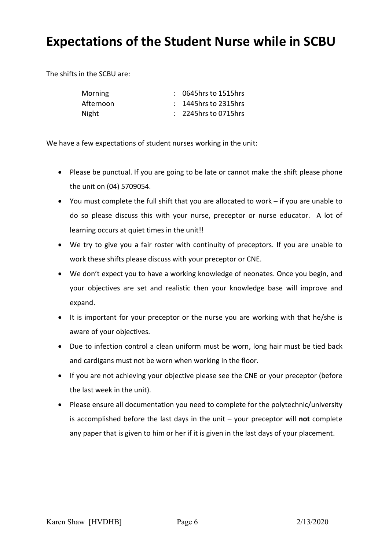## Expectations of the Student Nurse while in SCBU

The shifts in the SCBU are:

| <b>Morning</b> | $: 0645$ hrs to 1515hrs |
|----------------|-------------------------|
| Afternoon      | $: 1445$ hrs to 2315hrs |
| Night          | $: 2245$ hrs to 0715hrs |

We have a few expectations of student nurses working in the unit:

- Please be punctual. If you are going to be late or cannot make the shift please phone the unit on (04) 5709054.
- You must complete the full shift that you are allocated to work if you are unable to do so please discuss this with your nurse, preceptor or nurse educator. A lot of learning occurs at quiet times in the unit!!
- We try to give you a fair roster with continuity of preceptors. If you are unable to work these shifts please discuss with your preceptor or CNE.
- We don't expect you to have a working knowledge of neonates. Once you begin, and your objectives are set and realistic then your knowledge base will improve and expand.
- It is important for your preceptor or the nurse you are working with that he/she is aware of your objectives.
- Due to infection control a clean uniform must be worn, long hair must be tied back and cardigans must not be worn when working in the floor.
- If you are not achieving your objective please see the CNE or your preceptor (before the last week in the unit).
- Please ensure all documentation you need to complete for the polytechnic/university is accomplished before the last days in the unit  $-$  your preceptor will not complete any paper that is given to him or her if it is given in the last days of your placement.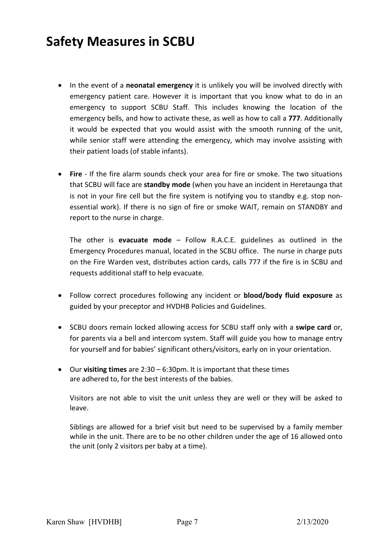# Safety Measures in SCBU

- In the event of a **neonatal emergency** it is unlikely you will be involved directly with emergency patient care. However it is important that you know what to do in an emergency to support SCBU Staff. This includes knowing the location of the emergency bells, and how to activate these, as well as how to call a 777. Additionally it would be expected that you would assist with the smooth running of the unit, while senior staff were attending the emergency, which may involve assisting with their patient loads (of stable infants).
- Fire If the fire alarm sounds check your area for fire or smoke. The two situations that SCBU will face are standby mode (when you have an incident in Heretaunga that is not in your fire cell but the fire system is notifying you to standby e.g. stop nonessential work). If there is no sign of fire or smoke WAIT, remain on STANDBY and report to the nurse in charge.

The other is **evacuate mode** – Follow R.A.C.E. guidelines as outlined in the Emergency Procedures manual, located in the SCBU office. The nurse in charge puts on the Fire Warden vest, distributes action cards, calls 777 if the fire is in SCBU and requests additional staff to help evacuate.

- Follow correct procedures following any incident or **blood/body fluid exposure** as guided by your preceptor and HVDHB Policies and Guidelines.
- SCBU doors remain locked allowing access for SCBU staff only with a swipe card or, for parents via a bell and intercom system. Staff will guide you how to manage entry for yourself and for babies' significant others/visitors, early on in your orientation.
- Our visiting times are  $2:30 6:30$  pm. It is important that these times are adhered to, for the best interests of the babies.

Visitors are not able to visit the unit unless they are well or they will be asked to leave.

Siblings are allowed for a brief visit but need to be supervised by a family member while in the unit. There are to be no other children under the age of 16 allowed onto the unit (only 2 visitors per baby at a time).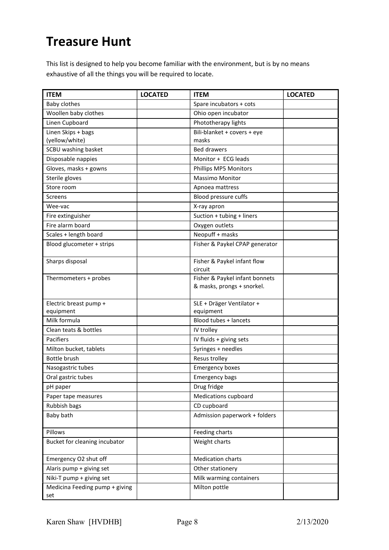# Treasure Hunt

This list is designed to help you become familiar with the environment, but is by no means exhaustive of all the things you will be required to locate.

| <b>ITEM</b>                           | <b>LOCATED</b> | <b>ITEM</b>                                                  | <b>LOCATED</b> |
|---------------------------------------|----------------|--------------------------------------------------------------|----------------|
| Baby clothes                          |                | Spare incubators + cots                                      |                |
| Woollen baby clothes                  |                | Ohio open incubator                                          |                |
| Linen Cupboard                        |                | Phototherapy lights                                          |                |
| Linen Skips + bags                    |                | Bili-blanket + covers + eye                                  |                |
| (yellow/white)                        |                | masks                                                        |                |
| SCBU washing basket                   |                | <b>Bed drawers</b>                                           |                |
| Disposable nappies                    |                | Monitor + ECG leads                                          |                |
| Gloves, masks + gowns                 |                | Phillips MP5 Monitors                                        |                |
| Sterile gloves                        |                | <b>Massimo Monitor</b>                                       |                |
| Store room                            |                | Apnoea mattress                                              |                |
| <b>Screens</b>                        |                | Blood pressure cuffs                                         |                |
| Wee-vac                               |                | X-ray apron                                                  |                |
| Fire extinguisher                     |                | Suction + tubing + liners                                    |                |
| Fire alarm board                      |                | Oxygen outlets                                               |                |
| Scales + length board                 |                | Neopuff + masks                                              |                |
| Blood glucometer + strips             |                | Fisher & Paykel CPAP generator                               |                |
| Sharps disposal                       |                | Fisher & Paykel infant flow<br>circuit                       |                |
| Thermometers + probes                 |                | Fisher & Paykel infant bonnets<br>& masks, prongs + snorkel. |                |
| Electric breast pump +<br>equipment   |                | SLE + Dräger Ventilator +<br>equipment                       |                |
| Milk formula                          |                | Blood tubes + lancets                                        |                |
| Clean teats & bottles                 |                | IV trolley                                                   |                |
| Pacifiers                             |                | IV fluids + giving sets                                      |                |
| Milton bucket, tablets                |                | Syringes + needles                                           |                |
| Bottle brush                          |                | Resus trolley                                                |                |
| Nasogastric tubes                     |                | <b>Emergency boxes</b>                                       |                |
| Oral gastric tubes                    |                | <b>Emergency bags</b>                                        |                |
| pH paper                              |                | Drug fridge                                                  |                |
| Paper tape measures                   |                | Medications cupboard                                         |                |
| Rubbish bags                          |                | CD cupboard                                                  |                |
| Baby bath                             |                | Admission paperwork + folders                                |                |
| Pillows                               |                | Feeding charts                                               |                |
| Bucket for cleaning incubator         |                | Weight charts                                                |                |
| Emergency O2 shut off                 |                | <b>Medication charts</b>                                     |                |
| Alaris pump + giving set              |                | Other stationery                                             |                |
| Niki-T pump + giving set              |                | Milk warming containers                                      |                |
| Medicina Feeding pump + giving<br>set |                | Milton pottle                                                |                |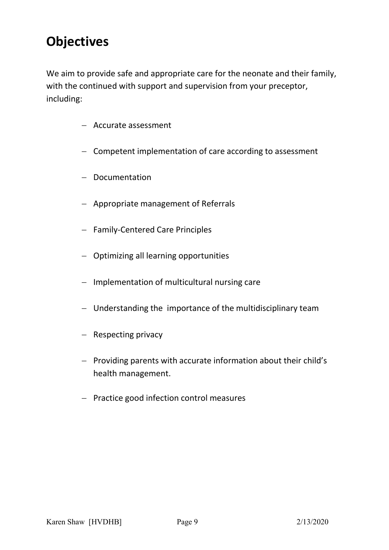# **Objectives**

We aim to provide safe and appropriate care for the neonate and their family, with the continued with support and supervision from your preceptor, including:

- Accurate assessment
- Competent implementation of care according to assessment
- Documentation
- Appropriate management of Referrals
- Family-Centered Care Principles
- Optimizing all learning opportunities
- $-$  Implementation of multicultural nursing care
- Understanding the importance of the multidisciplinary team
- $-$  Respecting privacy
- $P$  Providing parents with accurate information about their child's health management.
- $-$  Practice good infection control measures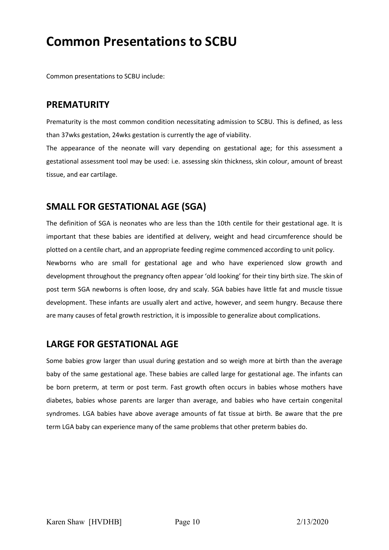## Common Presentations to SCBU

Common presentations to SCBU include:

### PREMATURITY

Prematurity is the most common condition necessitating admission to SCBU. This is defined, as less than 37wks gestation, 24wks gestation is currently the age of viability.

The appearance of the neonate will vary depending on gestational age; for this assessment a gestational assessment tool may be used: i.e. assessing skin thickness, skin colour, amount of breast tissue, and ear cartilage.

### SMALL FOR GESTATIONAL AGE (SGA)

The definition of SGA is neonates who are less than the 10th centile for their gestational age. It is important that these babies are identified at delivery, weight and head circumference should be plotted on a centile chart, and an appropriate feeding regime commenced according to unit policy.

Newborns who are small for gestational age and who have experienced slow growth and development throughout the pregnancy often appear 'old looking' for their tiny birth size. The skin of post term SGA newborns is often loose, dry and scaly. SGA babies have little fat and muscle tissue development. These infants are usually alert and active, however, and seem hungry. Because there are many causes of fetal growth restriction, it is impossible to generalize about complications.

### LARGE FOR GESTATIONAL AGE

Some babies grow larger than usual during gestation and so weigh more at birth than the average baby of the same gestational age. These babies are called large for gestational age. The infants can be born preterm, at term or post term. Fast growth often occurs in babies whose mothers have diabetes, babies whose parents are larger than average, and babies who have certain congenital syndromes. LGA babies have above average amounts of fat tissue at birth. Be aware that the pre term LGA baby can experience many of the same problems that other preterm babies do.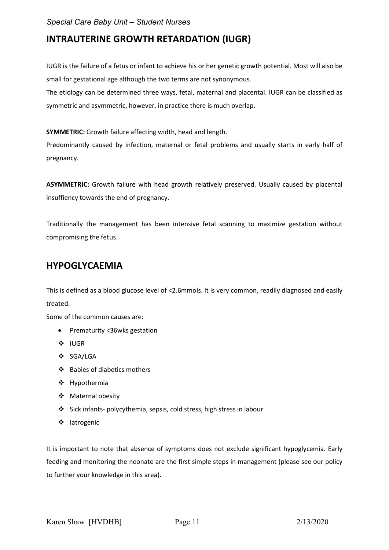### INTRAUTERINE GROWTH RETARDATION (IUGR)

IUGR is the failure of a fetus or infant to achieve his or her genetic growth potential. Most will also be small for gestational age although the two terms are not synonymous.

The etiology can be determined three ways, fetal, maternal and placental. IUGR can be classified as symmetric and asymmetric, however, in practice there is much overlap.

SYMMETRIC: Growth failure affecting width, head and length.

Predominantly caused by infection, maternal or fetal problems and usually starts in early half of pregnancy.

ASYMMETRIC: Growth failure with head growth relatively preserved. Usually caused by placental insuffiency towards the end of pregnancy.

Traditionally the management has been intensive fetal scanning to maximize gestation without compromising the fetus.

### HYPOGLYCAEMIA

This is defined as a blood glucose level of <2.6mmols. It is very common, readily diagnosed and easily treated.

Some of the common causes are:

- Prematurity <36wks gestation
- **❖ IUGR**
- SGA/LGA
- $\div$  Babies of diabetics mothers
- Hypothermia
- Maternal obesity
- Sick infants- polycythemia, sepsis, cold stress, high stress in labour
- ❖ latrogenic

It is important to note that absence of symptoms does not exclude significant hypoglycemia. Early feeding and monitoring the neonate are the first simple steps in management (please see our policy to further your knowledge in this area).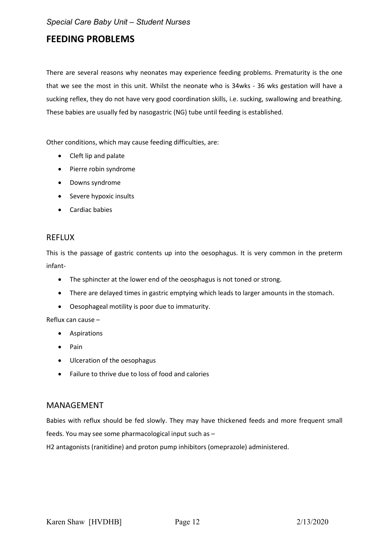### FEEDING PROBLEMS

There are several reasons why neonates may experience feeding problems. Prematurity is the one that we see the most in this unit. Whilst the neonate who is 34wks - 36 wks gestation will have a sucking reflex, they do not have very good coordination skills, i.e. sucking, swallowing and breathing. These babies are usually fed by nasogastric (NG) tube until feeding is established.

Other conditions, which may cause feeding difficulties, are:

- Cleft lip and palate
- Pierre robin syndrome
- Downs syndrome
- Severe hypoxic insults
- Cardiac babies

#### REFLUX

This is the passage of gastric contents up into the oesophagus. It is very common in the preterm infant-

- The sphincter at the lower end of the oeosphagus is not toned or strong.
- There are delayed times in gastric emptying which leads to larger amounts in the stomach.
- Oesophageal motility is poor due to immaturity.

Reflux can cause –

- **•** Aspirations
- Pain
- Ulceration of the oesophagus
- Failure to thrive due to loss of food and calories

#### MANAGEMENT

Babies with reflux should be fed slowly. They may have thickened feeds and more frequent small feeds. You may see some pharmacological input such as –

H2 antagonists (ranitidine) and proton pump inhibitors (omeprazole) administered.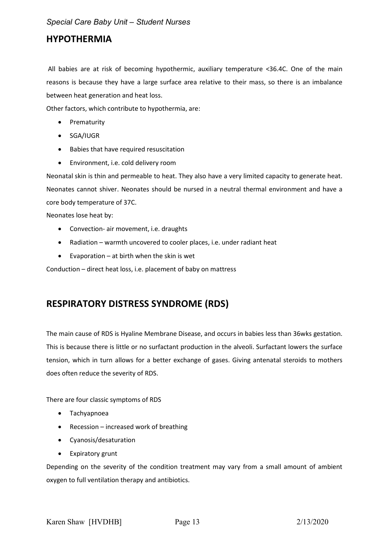### HYPOTHERMIA

 All babies are at risk of becoming hypothermic, auxiliary temperature <36.4C. One of the main reasons is because they have a large surface area relative to their mass, so there is an imbalance between heat generation and heat loss.

Other factors, which contribute to hypothermia, are:

- Prematurity
- SGA/IUGR
- Babies that have required resuscitation
- Environment, i.e. cold delivery room

Neonatal skin is thin and permeable to heat. They also have a very limited capacity to generate heat. Neonates cannot shiver. Neonates should be nursed in a neutral thermal environment and have a core body temperature of 37C.

Neonates lose heat by:

- Convection- air movement, i.e. draughts
- Radiation warmth uncovered to cooler places, i.e. under radiant heat
- $\bullet$  Evaporation at birth when the skin is wet

Conduction – direct heat loss, i.e. placement of baby on mattress

### RESPIRATORY DISTRESS SYNDROME (RDS)

The main cause of RDS is Hyaline Membrane Disease, and occurs in babies less than 36wks gestation. This is because there is little or no surfactant production in the alveoli. Surfactant lowers the surface tension, which in turn allows for a better exchange of gases. Giving antenatal steroids to mothers does often reduce the severity of RDS.

There are four classic symptoms of RDS

- Tachyapnoea
- Recession increased work of breathing
- Cyanosis/desaturation
- Expiratory grunt

Depending on the severity of the condition treatment may vary from a small amount of ambient oxygen to full ventilation therapy and antibiotics.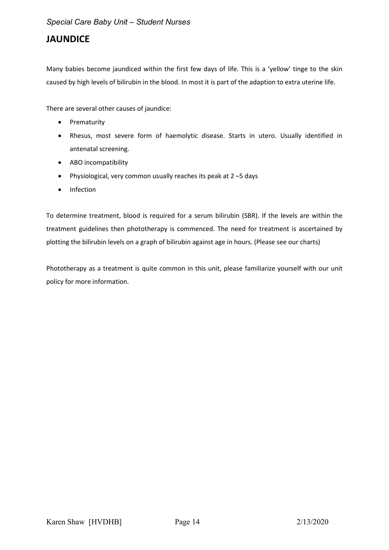### JAUNDICE

Many babies become jaundiced within the first few days of life. This is a 'yellow' tinge to the skin caused by high levels of bilirubin in the blood. In most it is part of the adaption to extra uterine life.

There are several other causes of jaundice:

- Prematurity
- Rhesus, most severe form of haemolytic disease. Starts in utero. Usually identified in antenatal screening.
- ABO incompatibility
- Physiological, very common usually reaches its peak at 2 –5 days
- Infection

To determine treatment, blood is required for a serum bilirubin (SBR). If the levels are within the treatment guidelines then phototherapy is commenced. The need for treatment is ascertained by plotting the bilirubin levels on a graph of bilirubin against age in hours. (Please see our charts)

Phototherapy as a treatment is quite common in this unit, please familiarize yourself with our unit policy for more information.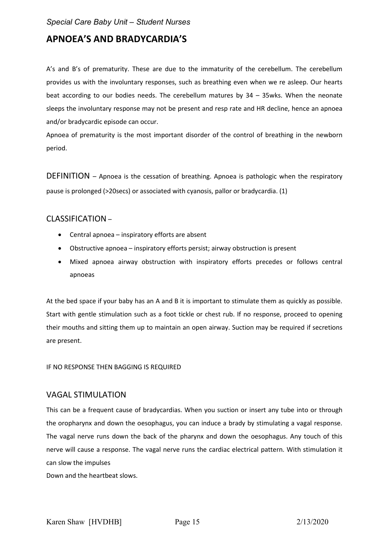### APNOEA'S AND BRADYCARDIA'S

A's and B's of prematurity. These are due to the immaturity of the cerebellum. The cerebellum provides us with the involuntary responses, such as breathing even when we re asleep. Our hearts beat according to our bodies needs. The cerebellum matures by  $34 - 35$  wks. When the neonate sleeps the involuntary response may not be present and resp rate and HR decline, hence an apnoea and/or bradycardic episode can occur.

Apnoea of prematurity is the most important disorder of the control of breathing in the newborn period.

DEFINITION – Apnoea is the cessation of breathing. Apnoea is pathologic when the respiratory pause is prolonged (>20secs) or associated with cyanosis, pallor or bradycardia. (1)

#### CLASSIFICATION –

- Central apnoea inspiratory efforts are absent
- Obstructive apnoea inspiratory efforts persist; airway obstruction is present
- Mixed apnoea airway obstruction with inspiratory efforts precedes or follows central apnoeas

At the bed space if your baby has an A and B it is important to stimulate them as quickly as possible. Start with gentle stimulation such as a foot tickle or chest rub. If no response, proceed to opening their mouths and sitting them up to maintain an open airway. Suction may be required if secretions are present.

#### IF NO RESPONSE THEN BAGGING IS REQUIRED

#### VAGAL STIMULATION

This can be a frequent cause of bradycardias. When you suction or insert any tube into or through the oropharynx and down the oesophagus, you can induce a brady by stimulating a vagal response. The vagal nerve runs down the back of the pharynx and down the oesophagus. Any touch of this nerve will cause a response. The vagal nerve runs the cardiac electrical pattern. With stimulation it can slow the impulses

Down and the heartbeat slows.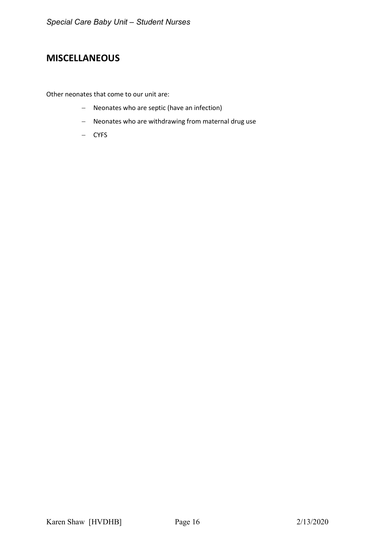### MISCELLANEOUS

Other neonates that come to our unit are:

- Neonates who are septic (have an infection)
- Neonates who are withdrawing from maternal drug use
- CYFS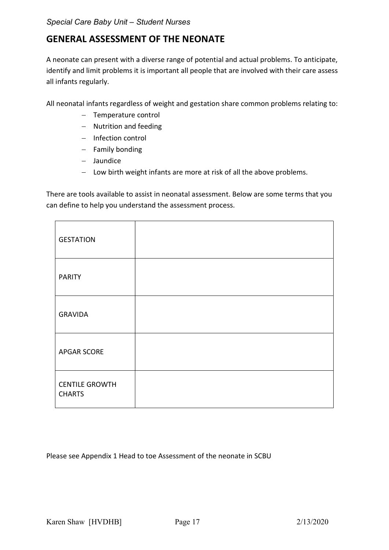### GENERAL ASSESSMENT OF THE NEONATE

A neonate can present with a diverse range of potential and actual problems. To anticipate, identify and limit problems it is important all people that are involved with their care assess all infants regularly.

All neonatal infants regardless of weight and gestation share common problems relating to:

- Temperature control
- Nutrition and feeding
- Infection control
- $-$  Family bonding
- Jaundice
- Low birth weight infants are more at risk of all the above problems.

There are tools available to assist in neonatal assessment. Below are some terms that you can define to help you understand the assessment process.

| <b>GESTATION</b>                       |  |
|----------------------------------------|--|
| <b>PARITY</b>                          |  |
| <b>GRAVIDA</b>                         |  |
| <b>APGAR SCORE</b>                     |  |
| <b>CENTILE GROWTH</b><br><b>CHARTS</b> |  |

Please see Appendix 1 Head to toe Assessment of the neonate in SCBU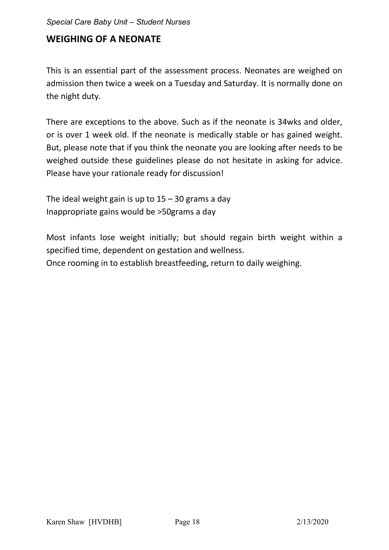### WEIGHING OF A NEONATE

This is an essential part of the assessment process. Neonates are weighed on admission then twice a week on a Tuesday and Saturday. It is normally done on the night duty.

There are exceptions to the above. Such as if the neonate is 34wks and older, or is over 1 week old. If the neonate is medically stable or has gained weight. But, please note that if you think the neonate you are looking after needs to be weighed outside these guidelines please do not hesitate in asking for advice. Please have your rationale ready for discussion!

The ideal weight gain is up to  $15 - 30$  grams a day Inappropriate gains would be >50grams a day

Most infants lose weight initially; but should regain birth weight within a specified time, dependent on gestation and wellness. Once rooming in to establish breastfeeding, return to daily weighing.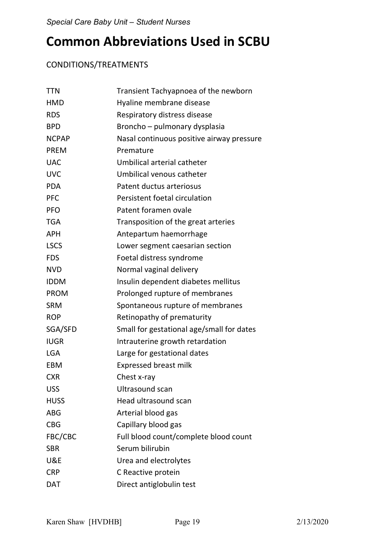# Common Abbreviations Used in SCBU

### CONDITIONS/TREATMENTS

| <b>TTN</b>   | Transient Tachyapnoea of the newborn      |
|--------------|-------------------------------------------|
| <b>HMD</b>   | Hyaline membrane disease                  |
| <b>RDS</b>   | Respiratory distress disease              |
| <b>BPD</b>   | Broncho - pulmonary dysplasia             |
| <b>NCPAP</b> | Nasal continuous positive airway pressure |
| <b>PREM</b>  | Premature                                 |
| <b>UAC</b>   | Umbilical arterial catheter               |
| <b>UVC</b>   | Umbilical venous catheter                 |
| <b>PDA</b>   | Patent ductus arteriosus                  |
| <b>PFC</b>   | Persistent foetal circulation             |
| <b>PFO</b>   | Patent foramen ovale                      |
| <b>TGA</b>   | Transposition of the great arteries       |
| <b>APH</b>   | Antepartum haemorrhage                    |
| <b>LSCS</b>  | Lower segment caesarian section           |
| <b>FDS</b>   | Foetal distress syndrome                  |
| <b>NVD</b>   | Normal vaginal delivery                   |
| <b>IDDM</b>  | Insulin dependent diabetes mellitus       |
| <b>PROM</b>  | Prolonged rupture of membranes            |
| <b>SRM</b>   | Spontaneous rupture of membranes          |
| <b>ROP</b>   | Retinopathy of prematurity                |
| SGA/SFD      | Small for gestational age/small for dates |
| <b>IUGR</b>  | Intrauterine growth retardation           |
| <b>LGA</b>   | Large for gestational dates               |
| EBM          | <b>Expressed breast milk</b>              |
| <b>CXR</b>   | Chest x-ray                               |
| <b>USS</b>   | Ultrasound scan                           |
| <b>HUSS</b>  | Head ultrasound scan                      |
| <b>ABG</b>   | Arterial blood gas                        |
| <b>CBG</b>   | Capillary blood gas                       |
| FBC/CBC      | Full blood count/complete blood count     |
| <b>SBR</b>   | Serum bilirubin                           |
| U&E          | Urea and electrolytes                     |
| <b>CRP</b>   | C Reactive protein                        |
| <b>DAT</b>   | Direct antiglobulin test                  |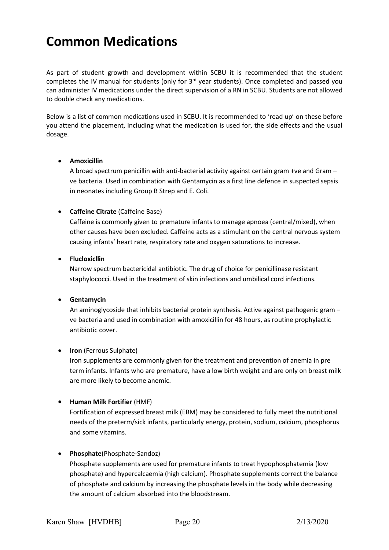# Common Medications

As part of student growth and development within SCBU it is recommended that the student completes the IV manual for students (only for 3<sup>rd</sup> year students). Once completed and passed you can administer IV medications under the direct supervision of a RN in SCBU. Students are not allowed to double check any medications.

Below is a list of common medications used in SCBU. It is recommended to 'read up' on these before you attend the placement, including what the medication is used for, the side effects and the usual dosage.

#### Amoxicillin

A broad spectrum penicillin with anti-bacterial activity against certain gram +ve and Gram – ve bacteria. Used in combination with Gentamycin as a first line defence in suspected sepsis in neonates including Group B Strep and E. Coli.

#### Caffeine Citrate (Caffeine Base)

Caffeine is commonly given to premature infants to manage apnoea (central/mixed), when other causes have been excluded. Caffeine acts as a stimulant on the central nervous system causing infants' heart rate, respiratory rate and oxygen saturations to increase.

#### Flucloxicllin

Narrow spectrum bactericidal antibiotic. The drug of choice for penicillinase resistant staphylococci. Used in the treatment of skin infections and umbilical cord infections.

#### Gentamycin

An aminoglycoside that inhibits bacterial protein synthesis. Active against pathogenic gram – ve bacteria and used in combination with amoxicillin for 48 hours, as routine prophylactic antibiotic cover.

#### • Iron (Ferrous Sulphate)

Iron supplements are commonly given for the treatment and prevention of anemia in pre term infants. Infants who are premature, have a low birth weight and are only on breast milk are more likely to become anemic.

Human Milk Fortifier (HMF)

Fortification of expressed breast milk (EBM) may be considered to fully meet the nutritional needs of the preterm/sick infants, particularly energy, protein, sodium, calcium, phosphorus and some vitamins.

#### Phosphate(Phosphate-Sandoz)

Phosphate supplements are used for premature infants to treat hypophosphatemia (low phosphate) and hypercalcaemia (high calcium). Phosphate supplements correct the balance of phosphate and calcium by increasing the phosphate levels in the body while decreasing the amount of calcium absorbed into the bloodstream.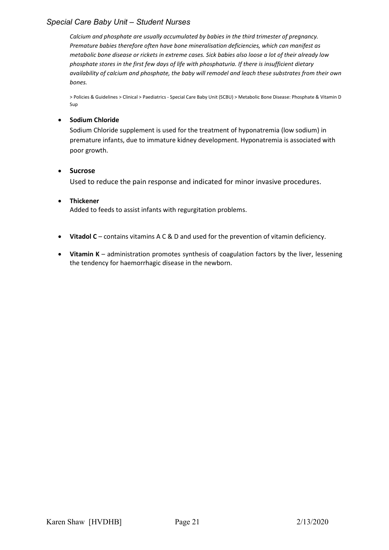#### Special Care Baby Unit – Student Nurses

Calcium and phosphate are usually accumulated by babies in the third trimester of pregnancy. Premature babies therefore often have bone mineralisation deficiencies, which can manifest as metabolic bone disease or rickets in extreme cases. Sick babies also loose a lot of their already low phosphate stores in the first few days of life with phosphaturia. If there is insufficient dietary availability of calcium and phosphate, the baby will remodel and leach these substrates from their own bones.

> Policies & Guidelines > Clinical > Paediatrics - Special Care Baby Unit (SCBU) > Metabolic Bone Disease: Phosphate & Vitamin D Sup

#### **•** Sodium Chloride

Sodium Chloride supplement is used for the treatment of hyponatremia (low sodium) in premature infants, due to immature kidney development. Hyponatremia is associated with poor growth.

#### • Sucrose

Used to reduce the pain response and indicated for minor invasive procedures.

#### Thickener

Added to feeds to assist infants with regurgitation problems.

- Vitadol C contains vitamins A C & D and used for the prevention of vitamin deficiency.
- Vitamin K administration promotes synthesis of coagulation factors by the liver, lessening the tendency for haemorrhagic disease in the newborn.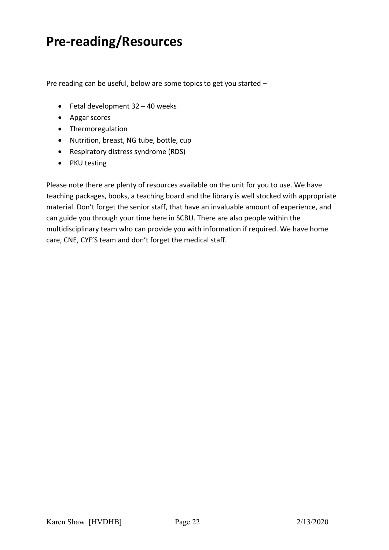# Pre-reading/Resources

Pre reading can be useful, below are some topics to get you started –

- $\bullet$  Fetal development 32 40 weeks
- Apgar scores
- Thermoregulation
- Nutrition, breast, NG tube, bottle, cup
- Respiratory distress syndrome (RDS)
- PKU testing

Please note there are plenty of resources available on the unit for you to use. We have teaching packages, books, a teaching board and the library is well stocked with appropriate material. Don't forget the senior staff, that have an invaluable amount of experience, and can guide you through your time here in SCBU. There are also people within the multidisciplinary team who can provide you with information if required. We have home care, CNE, CYF'S team and don't forget the medical staff.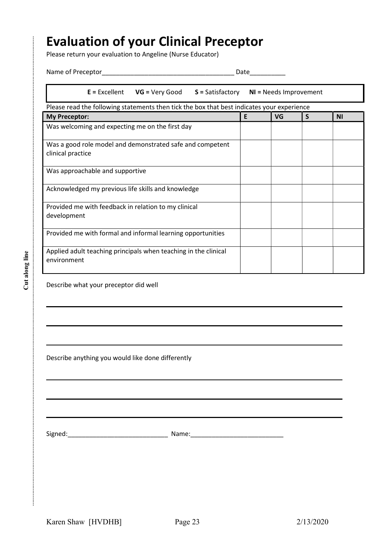## Evaluation of your Clinical Preceptor

|  |  |  | Name of Preceptor |
|--|--|--|-------------------|
|--|--|--|-------------------|

|                                                                                            |  | $E =$ Excellent VG = Very Good S = Satisfactory NI = Needs Improvement |    |   |           |
|--------------------------------------------------------------------------------------------|--|------------------------------------------------------------------------|----|---|-----------|
| Please read the following statements then tick the box that best indicates your experience |  |                                                                        |    |   |           |
| <b>My Preceptor:</b>                                                                       |  | E                                                                      | VG | S | <b>NI</b> |
| Was welcoming and expecting me on the first day                                            |  |                                                                        |    |   |           |
| Was a good role model and demonstrated safe and competent<br>clinical practice             |  |                                                                        |    |   |           |
| Was approachable and supportive                                                            |  |                                                                        |    |   |           |
| Acknowledged my previous life skills and knowledge                                         |  |                                                                        |    |   |           |
| Provided me with feedback in relation to my clinical<br>development                        |  |                                                                        |    |   |           |
| Provided me with formal and informal learning opportunities                                |  |                                                                        |    |   |           |
| Applied adult teaching principals when teaching in the clinical<br>environment             |  |                                                                        |    |   |           |
| Describe what your preceptor did well                                                      |  |                                                                        |    |   |           |
| Describe anything you would like done differently                                          |  |                                                                        |    |   |           |
|                                                                                            |  |                                                                        |    |   |           |
|                                                                                            |  |                                                                        |    |   |           |
|                                                                                            |  |                                                                        |    |   |           |